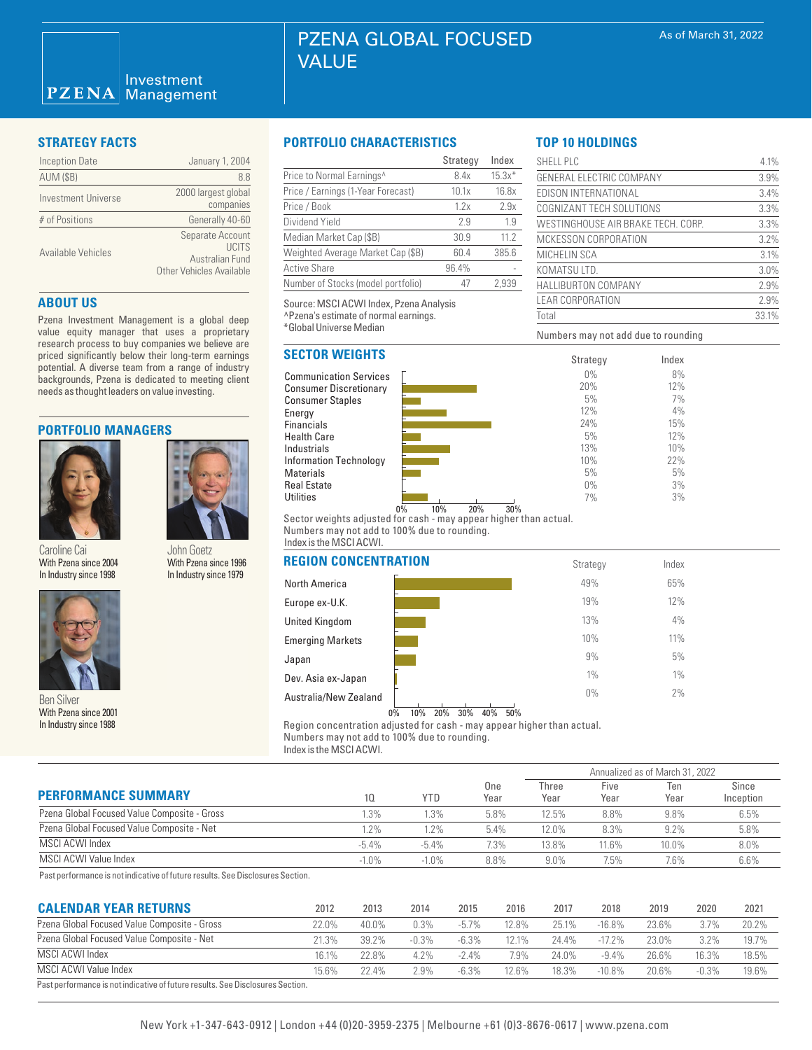| <b>Inception Date</b> | January 1, 2004                                                          |
|-----------------------|--------------------------------------------------------------------------|
| <b>AUM (\$B)</b>      | 8.8                                                                      |
| Investment Universe   | 2000 largest global<br>companies                                         |
| # of Positions        | Generally 40-60                                                          |
| Available Vehicles    | Separate Account<br>UCITS<br>Australian Fund<br>Other Vehicles Available |

# **ABOUT US**

Pzena Investment Management is a global deep value equity manager that uses a proprietary research process to buy companies we believe are priced significantly below their long-term earnings potential. A diverse team from a range of industry backgrounds, Pzena is dedicated to meeting client needs as thought leaders on value investing.

# **PORTFOLIO MANAGERS**



Caroline Cai With Pzena since 2004 In Industry since 1998





With Pzena since 2001 In Industry since 1988

# **STRATEGY FACTS PORTFOLIO CHARACTERISTICS**

|                                    | Strategy | Index    |
|------------------------------------|----------|----------|
| Price to Normal Earnings^          | 8.4x     | $15.3x*$ |
| Price / Earnings (1-Year Forecast) | 10.1x    | 16.8x    |
| Price / Book                       | 1.2x     | 2.9x     |
| Dividend Yield                     | 2.9      | 1.9      |
| Median Market Cap (\$B)            | 30.9     | 11.2     |
| Weighted Average Market Cap (\$B)  | 60.4     | 385.6    |
| <b>Active Share</b>                | 96.4%    |          |
| Number of Stocks (model portfolio) | 47       | 2.939    |

Source: MSCI ACWI Index, Pzena Analysis ^Pzena's estimate of normal earnings.

\*Global Universe Median

# **SECTOR WEIGHTS**

Communication Services Consumer Discretionary Consumer Staples Energy **Financials** Health Care Industrials Information Technology Materials Real Estate **Utilities** 



Numbers may not add due to rounding

SHELL PLC 4.1% GENERAL ELECTRIC COMPANY 3.9% EDISON INTERNATIONAL 3.4% COGNIZANT TECH SOLUTIONS 3.3% WESTINGHOUSE AIR BRAKE TECH. CORP. 3.3% MCKESSON CORPORATION 3.2% MICHELIN SCA 3.1% KOMATSU LTD. 3.0% HALLIBURTON COMPANY 2.9% LEAR CORPORATION 2.9% Total 33.1%

> Index 8% 12% 7% 4% 15% 12% 10% 22% 5% 3% 3%

**TOP 10 HOLDINGS**

0% 10% 20% 30% Sector weights adjusted for cash - may appear higher than actual. Numbers may not add to 100% due to rounding. Index is the MSCI ACWI.

| Garuillic Gal<br><b>JUILLUUGLA</b><br>With Pzena since 1996<br>With Pzena since 2004 |                         | <b>REGION CONCENTRATION</b> | Strategy | Index |  |
|--------------------------------------------------------------------------------------|-------------------------|-----------------------------|----------|-------|--|
| In Industry since 1998<br>In Industry since 1979                                     | North America           | 49%                         | 65%      |       |  |
|                                                                                      | Europe ex-U.K.          | 19%                         | 12%      |       |  |
|                                                                                      | <b>United Kingdom</b>   | 13%                         | 4%       |       |  |
|                                                                                      | <b>Emerging Markets</b> | 10%                         | 11%      |       |  |
|                                                                                      | Japan                   | 9%                          | 5%       |       |  |
|                                                                                      | Dev. Asia ex-Japan      | $1\%$                       | $1\%$    |       |  |
| <b>Ben Silver</b>                                                                    |                         | Australia/New Zealand       | $0\%$    | 2%    |  |
|                                                                                      |                         |                             |          |       |  |

# 0% 10% 20% 30% 40% 50%

Region concentration adjusted for cash - may appear higher than actual. Numbers may not add to 100% due to rounding.

Index is the MSCI ACWI.

|                                              |          |            | One<br>Year | Annualized as of March 31, 2022 |              |             |                    |  |
|----------------------------------------------|----------|------------|-------------|---------------------------------|--------------|-------------|--------------------|--|
| <b>PERFORMANCE SUMMARY</b>                   | 10.      | <b>YTD</b> |             | Three<br>Year                   | Five<br>Year | Ten<br>Year | Since<br>Inception |  |
| Pzena Global Focused Value Composite - Gross | 1.3%     | $1.3\%$    | 5.8%        | 12.5%                           | 8.8%         | 9.8%        | 6.5%               |  |
| Pzena Global Focused Value Composite - Net   | 1.2%     | 1.2%       | 5.4%        | 12.0%                           | 8.3%         | $9.2\%$     | 5.8%               |  |
| MSCI ACWI Index                              | $-5.4\%$ | $-5.4%$    | 7.3%        | 13.8%                           | 11.6%        | 10.0%       | 8.0%               |  |
| MSCI ACWI Value Index                        | $-1.0\%$ | $-1.0%$    | 8.8%        | $9.0\%$                         | 7.5%         | 7.6%        | 6.6%               |  |

Past performance is not indicative of future results. See Disclosures Section.

| <b>CALENDAR YEAR RETURNS</b>                                                   | 2012  | 2013     | 2014    | 2015     | 2016  | 2017  | 2018      | 2019  | 2020    | 2021  |
|--------------------------------------------------------------------------------|-------|----------|---------|----------|-------|-------|-----------|-------|---------|-------|
| Pzena Global Focused Value Composite - Gross                                   | 22.0% | 40.0%    | 0.3%    | $-5.7\%$ | 12.8% | 25.1% | $-16.8%$  | 23.6% | 3.7%    | 20.2% |
| Pzena Global Focused Value Composite - Net                                     | 21.3% | $39.2\%$ | $-0.3%$ | $-6.3\%$ | 12.1% | 24 4% | $-17.2\%$ | 23.0% | 3.2%    | 19.7% |
| MSCI ACWI Index                                                                | 16.1% | 22.8%    | $4.2\%$ | $-2.4\%$ | 7.9%  | 24.0% | $-9.4\%$  | 26.6% | 16.3%   | 18.5% |
| MSCI ACWI Value Index                                                          | 15.6% | 22.4%    | 2.9%    | $-6.3\%$ | 12.6% | 18.3% | $-10.8\%$ | 20.6% | $-0.3%$ | 19.6% |
| Past performance is not indicative of future results. See Disclosures Section. |       |          |         |          |       |       |           |       |         |       |

# New York +1-347-643-0912 | London +44 (0)20-3959-2375 | Melbourne +61 (0)3-8676-0617 | www.pzena.com